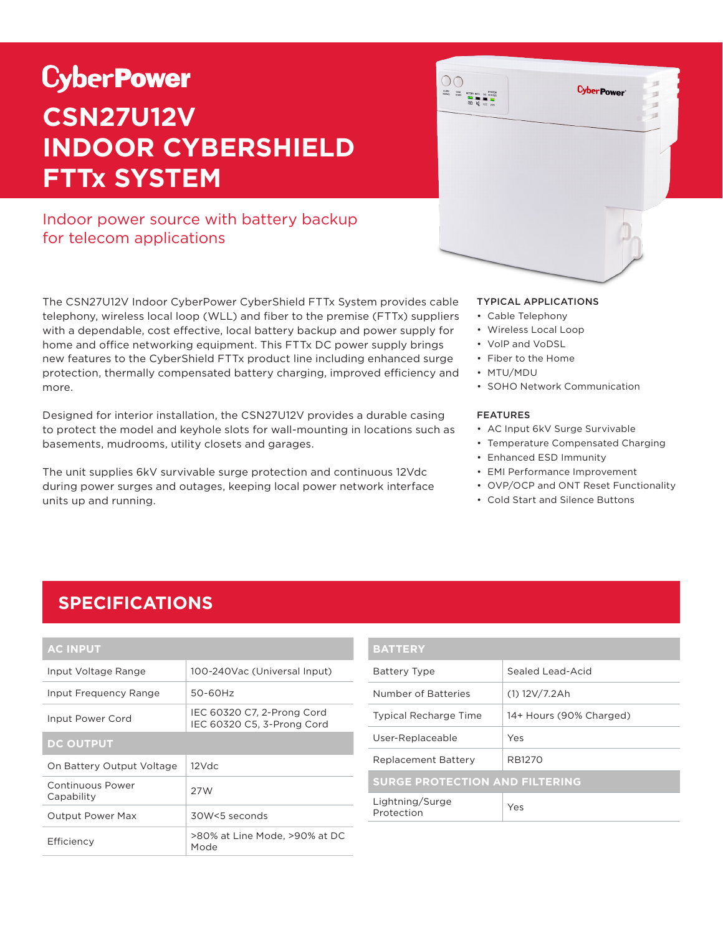# **CyberPower CSN27U12V INDOOR CYBERSHIELD FTTx SYSTEM**

### Indoor power source with battery backup for telecom applications

The CSN27U12V Indoor CyberPower CyberShield FTTx System provides cable telephony, wireless local loop (WLL) and fiber to the premise (FTTx) suppliers with a dependable, cost effective, local battery backup and power supply for home and office networking equipment. This FTTx DC power supply brings new features to the CyberShield FTTx product line including enhanced surge protection, thermally compensated battery charging, improved efficiency and more.

Designed for interior installation, the CSN27U12V provides a durable casing to protect the model and keyhole slots for wall-mounting in locations such as basements, mudrooms, utility closets and garages.

The unit supplies 6kV survivable surge protection and continuous 12Vdc during power surges and outages, keeping local power network interface units up and running.



#### TYPICAL APPLICATIONS

- Cable Telephony
- Wireless Local Loop
- VolP and VoDSL
- Fiber to the Home
- MTU/MDU
- SOHO Network Communication

#### FEATURES

- AC Input 6kV Surge Survivable
- Temperature Compensated Charging
- Enhanced ESD Immunity
- EMI Performance Improvement
- OVP/OCP and ONT Reset Functionality
- Cold Start and Silence Buttons

### **SPECIFICATIONS**

| <b>AC INPUT</b>                |                                                          |  |
|--------------------------------|----------------------------------------------------------|--|
| Input Voltage Range            | 100-240Vac (Universal Input)                             |  |
| Input Frequency Range          | 50-60Hz                                                  |  |
| Input Power Cord               | IEC 60320 C7, 2-Prong Cord<br>IEC 60320 C5, 3-Prong Cord |  |
| <b>DC OUTPUT</b>               |                                                          |  |
| On Battery Output Voltage      | $12$ Vdc                                                 |  |
| Continuous Power<br>Capability | 27W                                                      |  |
| <b>Output Power Max</b>        | 30W<5 seconds                                            |  |
| Efficiency                     | >80% at Line Mode, >90% at DC<br>Mode                    |  |

| <b>BATTERY</b>                        |                         |  |
|---------------------------------------|-------------------------|--|
| <b>Battery Type</b>                   | Sealed Lead-Acid        |  |
| Number of Batteries                   | $(1)$ 12V/7.2Ah         |  |
| <b>Typical Recharge Time</b>          | 14+ Hours (90% Charged) |  |
| User-Replaceable                      | Yes                     |  |
| <b>Replacement Battery</b>            | RB1270                  |  |
| <b>SURGE PROTECTION AND FILTERING</b> |                         |  |
| Lightning/Surge<br>Protection         | Yes                     |  |
|                                       |                         |  |